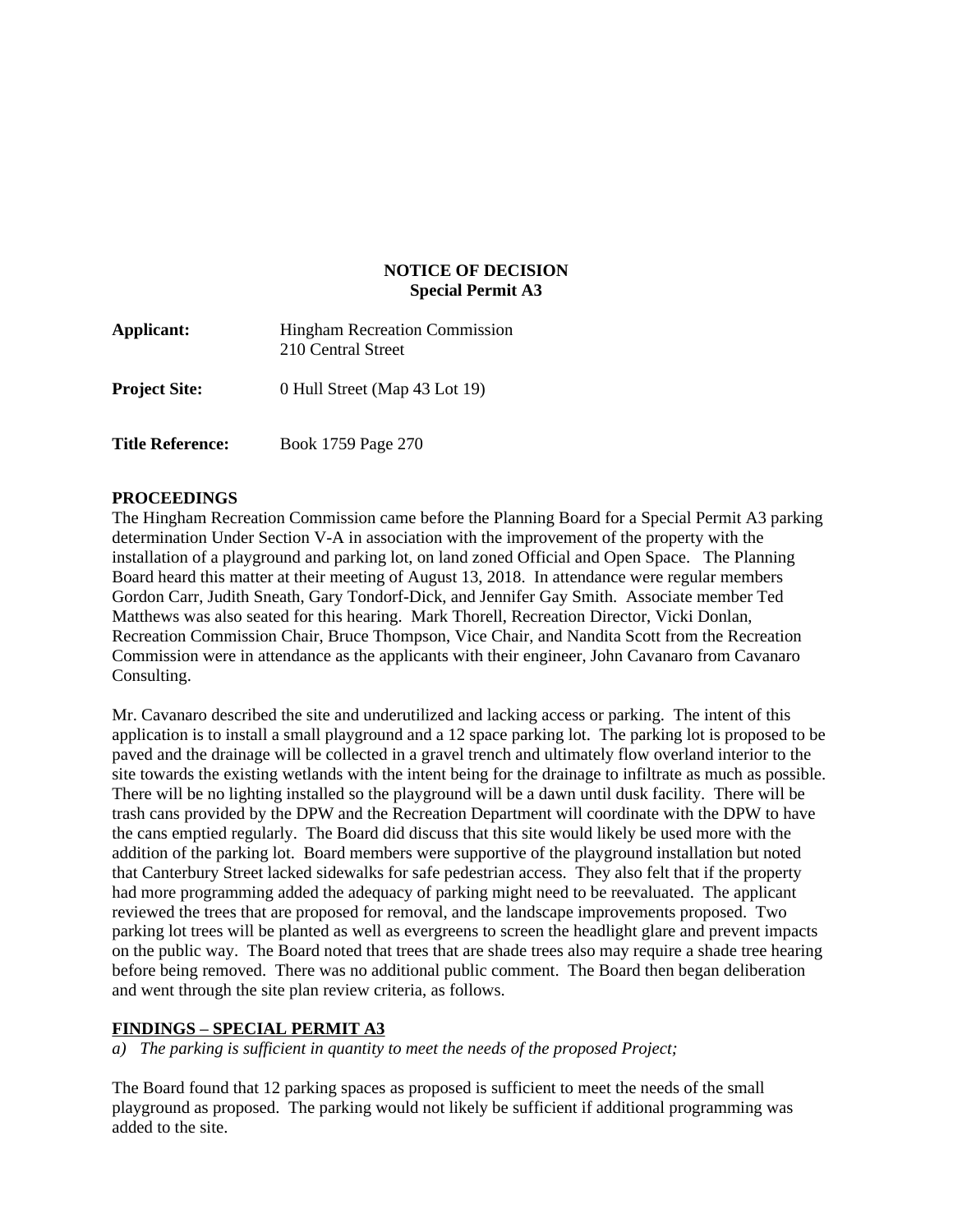## **NOTICE OF DECISION Special Permit A3**

| Applicant:              | <b>Hingham Recreation Commission</b><br>210 Central Street |
|-------------------------|------------------------------------------------------------|
| <b>Project Site:</b>    | 0 Hull Street (Map 43 Lot 19)                              |
| <b>Title Reference:</b> | Book 1759 Page 270                                         |

## **PROCEEDINGS**

The Hingham Recreation Commission came before the Planning Board for a Special Permit A3 parking determination Under Section V-A in association with the improvement of the property with the installation of a playground and parking lot, on land zoned Official and Open Space. The Planning Board heard this matter at their meeting of August 13, 2018. In attendance were regular members Gordon Carr, Judith Sneath, Gary Tondorf-Dick, and Jennifer Gay Smith. Associate member Ted Matthews was also seated for this hearing. Mark Thorell, Recreation Director, Vicki Donlan, Recreation Commission Chair, Bruce Thompson, Vice Chair, and Nandita Scott from the Recreation Commission were in attendance as the applicants with their engineer, John Cavanaro from Cavanaro Consulting.

Mr. Cavanaro described the site and underutilized and lacking access or parking. The intent of this application is to install a small playground and a 12 space parking lot. The parking lot is proposed to be paved and the drainage will be collected in a gravel trench and ultimately flow overland interior to the site towards the existing wetlands with the intent being for the drainage to infiltrate as much as possible. There will be no lighting installed so the playground will be a dawn until dusk facility. There will be trash cans provided by the DPW and the Recreation Department will coordinate with the DPW to have the cans emptied regularly. The Board did discuss that this site would likely be used more with the addition of the parking lot. Board members were supportive of the playground installation but noted that Canterbury Street lacked sidewalks for safe pedestrian access. They also felt that if the property had more programming added the adequacy of parking might need to be reevaluated. The applicant reviewed the trees that are proposed for removal, and the landscape improvements proposed. Two parking lot trees will be planted as well as evergreens to screen the headlight glare and prevent impacts on the public way. The Board noted that trees that are shade trees also may require a shade tree hearing before being removed. There was no additional public comment. The Board then began deliberation and went through the site plan review criteria, as follows.

## **FINDINGS – SPECIAL PERMIT A3**

*a) The parking is sufficient in quantity to meet the needs of the proposed Project;*

The Board found that 12 parking spaces as proposed is sufficient to meet the needs of the small playground as proposed. The parking would not likely be sufficient if additional programming was added to the site.